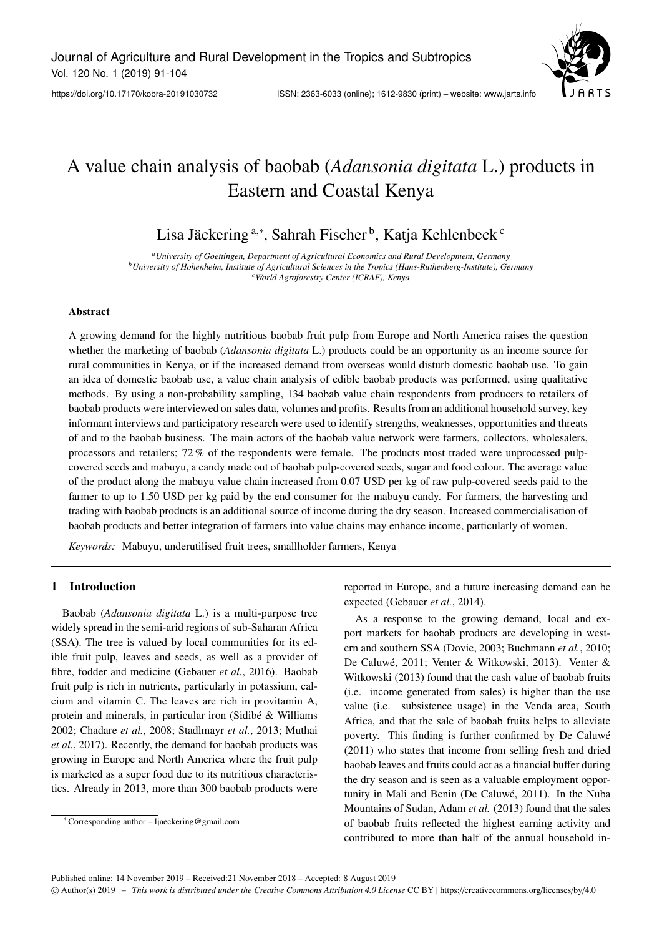

# A value chain analysis of baobab (*Adansonia digitata* L.) products in Eastern and Coastal Kenya

Lisa Jäckering <sup>a,∗</sup>, Sahrah Fischer <sup>b</sup>, Katja Kehlenbeck <sup>c</sup>

*<sup>a</sup>University of Goettingen, Department of Agricultural Economics and Rural Development, Germany <sup>b</sup>University of Hohenheim, Institute of Agricultural Sciences in the Tropics (Hans-Ruthenberg-Institute), Germany <sup>c</sup>World Agroforestry Center (ICRAF), Kenya*

#### Abstract

A growing demand for the highly nutritious baobab fruit pulp from Europe and North America raises the question whether the marketing of baobab (*Adansonia digitata* L.) products could be an opportunity as an income source for rural communities in Kenya, or if the increased demand from overseas would disturb domestic baobab use. To gain an idea of domestic baobab use, a value chain analysis of edible baobab products was performed, using qualitative methods. By using a non-probability sampling, 134 baobab value chain respondents from producers to retailers of baobab products were interviewed on sales data, volumes and profits. Results from an additional household survey, key informant interviews and participatory research were used to identify strengths, weaknesses, opportunities and threats of and to the baobab business. The main actors of the baobab value network were farmers, collectors, wholesalers, processors and retailers; 72 % of the respondents were female. The products most traded were unprocessed pulpcovered seeds and mabuyu, a candy made out of baobab pulp-covered seeds, sugar and food colour. The average value of the product along the mabuyu value chain increased from 0.07 USD per kg of raw pulp-covered seeds paid to the farmer to up to 1.50 USD per kg paid by the end consumer for the mabuyu candy. For farmers, the harvesting and trading with baobab products is an additional source of income during the dry season. Increased commercialisation of baobab products and better integration of farmers into value chains may enhance income, particularly of women.

*Keywords:* Mabuyu, underutilised fruit trees, smallholder farmers, Kenya

## 1 Introduction

Baobab (*Adansonia digitata* L.) is a multi-purpose tree widely spread in the semi-arid regions of sub-Saharan Africa (SSA). The tree is valued by local communities for its edible fruit pulp, leaves and seeds, as well as a provider of fibre, fodder and medicine (Gebauer *et al.*, 2016). Baobab fruit pulp is rich in nutrients, particularly in potassium, calcium and vitamin C. The leaves are rich in provitamin A, protein and minerals, in particular iron (Sidibé & Williams 2002; Chadare *et al.*, 2008; Stadlmayr *et al.*, 2013; Muthai *et al.*, 2017). Recently, the demand for baobab products was growing in Europe and North America where the fruit pulp is marketed as a super food due to its nutritious characteristics. Already in 2013, more than 300 baobab products were

reported in Europe, and a future increasing demand can be expected (Gebauer *et al.*, 2014).

As a response to the growing demand, local and export markets for baobab products are developing in western and southern SSA (Dovie, 2003; Buchmann *et al.*, 2010; De Caluwé, 2011; Venter & Witkowski, 2013). Venter & Witkowski (2013) found that the cash value of baobab fruits (i.e. income generated from sales) is higher than the use value (i.e. subsistence usage) in the Venda area, South Africa, and that the sale of baobab fruits helps to alleviate poverty. This finding is further confirmed by De Caluwé (2011) who states that income from selling fresh and dried baobab leaves and fruits could act as a financial buffer during the dry season and is seen as a valuable employment opportunity in Mali and Benin (De Caluwé, 2011). In the Nuba Mountains of Sudan, Adam *et al.* (2013) found that the sales of baobab fruits reflected the highest earning activity and contributed to more than half of the annual household in-

<sup>∗</sup> Corresponding author – ljaeckering@gmail.com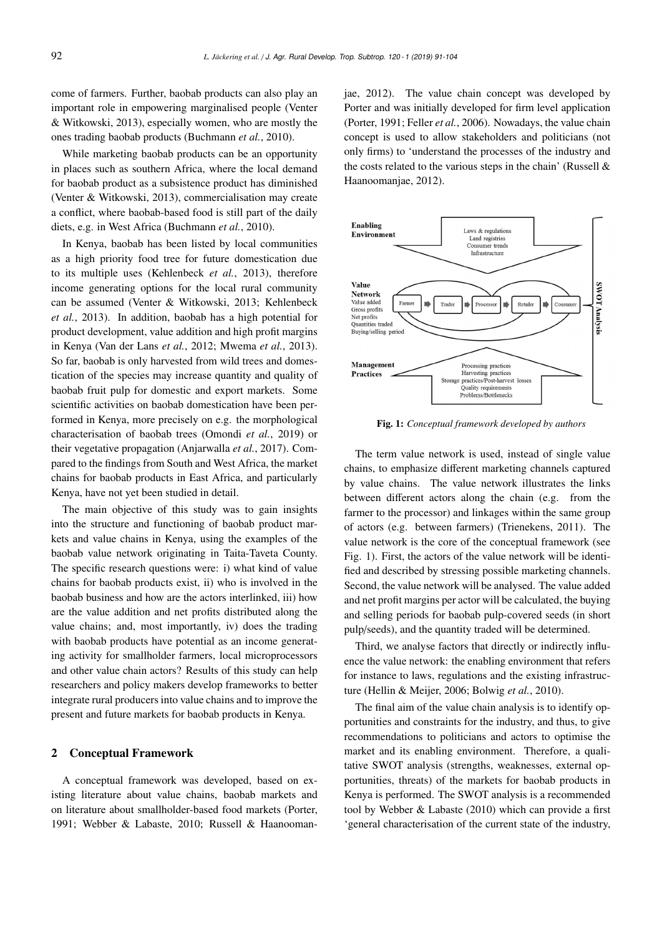come of farmers. Further, baobab products can also play an important role in empowering marginalised people (Venter & Witkowski, 2013), especially women, who are mostly the ones trading baobab products (Buchmann *et al.*, 2010).

While marketing baobab products can be an opportunity in places such as southern Africa, where the local demand for baobab product as a subsistence product has diminished (Venter & Witkowski, 2013), commercialisation may create a conflict, where baobab-based food is still part of the daily diets, e.g. in West Africa (Buchmann *et al.*, 2010).

In Kenya, baobab has been listed by local communities as a high priority food tree for future domestication due to its multiple uses (Kehlenbeck *et al.*, 2013), therefore income generating options for the local rural community can be assumed (Venter & Witkowski, 2013; Kehlenbeck *et al.*, 2013). In addition, baobab has a high potential for product development, value addition and high profit margins in Kenya (Van der Lans *et al.*, 2012; Mwema *et al.*, 2013). So far, baobab is only harvested from wild trees and domestication of the species may increase quantity and quality of baobab fruit pulp for domestic and export markets. Some scientific activities on baobab domestication have been performed in Kenya, more precisely on e.g. the morphological characterisation of baobab trees (Omondi *et al.*, 2019) or their vegetative propagation (Anjarwalla *et al.*, 2017). Compared to the findings from South and West Africa, the market chains for baobab products in East Africa, and particularly Kenya, have not yet been studied in detail.

The main objective of this study was to gain insights into the structure and functioning of baobab product markets and value chains in Kenya, using the examples of the baobab value network originating in Taita-Taveta County. The specific research questions were: i) what kind of value chains for baobab products exist, ii) who is involved in the baobab business and how are the actors interlinked, iii) how are the value addition and net profits distributed along the value chains; and, most importantly, iv) does the trading with baobab products have potential as an income generating activity for smallholder farmers, local microprocessors and other value chain actors? Results of this study can help researchers and policy makers develop frameworks to better integrate rural producers into value chains and to improve the present and future markets for baobab products in Kenya.

#### 2 Conceptual Framework

A conceptual framework was developed, based on existing literature about value chains, baobab markets and on literature about smallholder-based food markets (Porter, 1991; Webber & Labaste, 2010; Russell & Haanoomanjae, 2012). The value chain concept was developed by Porter and was initially developed for firm level application (Porter, 1991; Feller *et al.*, 2006). Nowadays, the value chain concept is used to allow stakeholders and politicians (not only firms) to 'understand the processes of the industry and the costs related to the various steps in the chain' (Russell  $\&$ Haanoomanjae, 2012).



Fig. 1: *Conceptual framework developed by authors*

The term value network is used, instead of single value chains, to emphasize different marketing channels captured by value chains. The value network illustrates the links between different actors along the chain (e.g. from the farmer to the processor) and linkages within the same group of actors (e.g. between farmers) (Trienekens, 2011). The value network is the core of the conceptual framework (see Fig. 1). First, the actors of the value network will be identified and described by stressing possible marketing channels. Second, the value network will be analysed. The value added and net profit margins per actor will be calculated, the buying and selling periods for baobab pulp-covered seeds (in short pulp/seeds), and the quantity traded will be determined.

Third, we analyse factors that directly or indirectly influence the value network: the enabling environment that refers for instance to laws, regulations and the existing infrastructure (Hellin & Meijer, 2006; Bolwig *et al.*, 2010).

The final aim of the value chain analysis is to identify opportunities and constraints for the industry, and thus, to give recommendations to politicians and actors to optimise the market and its enabling environment. Therefore, a qualitative SWOT analysis (strengths, weaknesses, external opportunities, threats) of the markets for baobab products in Kenya is performed. The SWOT analysis is a recommended tool by Webber & Labaste (2010) which can provide a first 'general characterisation of the current state of the industry,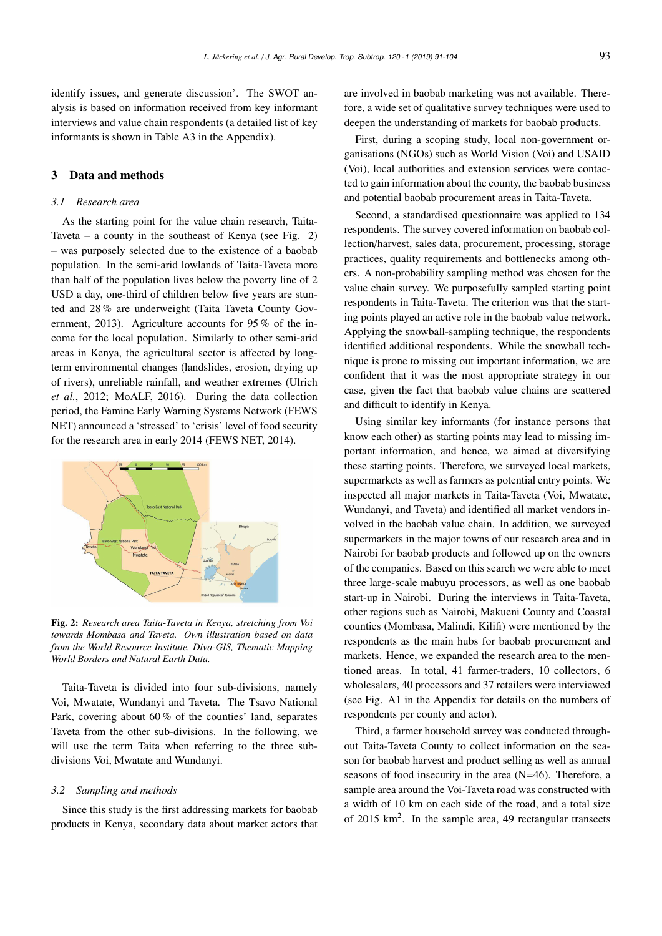identify issues, and generate discussion'. The SWOT analysis is based on information received from key informant interviews and value chain respondents (a detailed list of key informants is shown in Table A3 in the Appendix).

# 3 Data and methods

#### *3.1 Research area*

As the starting point for the value chain research, Taita-Taveta – a county in the southeast of Kenya (see Fig. 2) – was purposely selected due to the existence of a baobab population. In the semi-arid lowlands of Taita-Taveta more than half of the population lives below the poverty line of 2 USD a day, one-third of children below five years are stunted and 28 % are underweight (Taita Taveta County Government, 2013). Agriculture accounts for 95 % of the income for the local population. Similarly to other semi-arid areas in Kenya, the agricultural sector is affected by longterm environmental changes (landslides, erosion, drying up of rivers), unreliable rainfall, and weather extremes (Ulrich *et al.*, 2012; MoALF, 2016). During the data collection period, the Famine Early Warning Systems Network (FEWS NET) announced a 'stressed' to 'crisis' level of food security for the research area in early 2014 (FEWS NET, 2014).



Fig. 2: *Research area Taita-Taveta in Kenya, stretching from Voi towards Mombasa and Taveta. Own illustration based on data from the World Resource Institute, Diva-GIS, Thematic Mapping World Borders and Natural Earth Data.*

Taita-Taveta is divided into four sub-divisions, namely Voi, Mwatate, Wundanyi and Taveta. The Tsavo National Park, covering about 60 % of the counties' land, separates Taveta from the other sub-divisions. In the following, we will use the term Taita when referring to the three subdivisions Voi, Mwatate and Wundanyi.

#### *3.2 Sampling and methods*

Since this study is the first addressing markets for baobab products in Kenya, secondary data about market actors that are involved in baobab marketing was not available. Therefore, a wide set of qualitative survey techniques were used to deepen the understanding of markets for baobab products.

First, during a scoping study, local non-government organisations (NGOs) such as World Vision (Voi) and USAID (Voi), local authorities and extension services were contacted to gain information about the county, the baobab business and potential baobab procurement areas in Taita-Taveta.

Second, a standardised questionnaire was applied to 134 respondents. The survey covered information on baobab collection/harvest, sales data, procurement, processing, storage practices, quality requirements and bottlenecks among others. A non-probability sampling method was chosen for the value chain survey. We purposefully sampled starting point respondents in Taita-Taveta. The criterion was that the starting points played an active role in the baobab value network. Applying the snowball-sampling technique, the respondents identified additional respondents. While the snowball technique is prone to missing out important information, we are confident that it was the most appropriate strategy in our case, given the fact that baobab value chains are scattered and difficult to identify in Kenya.

Using similar key informants (for instance persons that know each other) as starting points may lead to missing important information, and hence, we aimed at diversifying these starting points. Therefore, we surveyed local markets, supermarkets as well as farmers as potential entry points. We inspected all major markets in Taita-Taveta (Voi, Mwatate, Wundanyi, and Taveta) and identified all market vendors involved in the baobab value chain. In addition, we surveyed supermarkets in the major towns of our research area and in Nairobi for baobab products and followed up on the owners of the companies. Based on this search we were able to meet three large-scale mabuyu processors, as well as one baobab start-up in Nairobi. During the interviews in Taita-Taveta, other regions such as Nairobi, Makueni County and Coastal counties (Mombasa, Malindi, Kilifi) were mentioned by the respondents as the main hubs for baobab procurement and markets. Hence, we expanded the research area to the mentioned areas. In total, 41 farmer-traders, 10 collectors, 6 wholesalers, 40 processors and 37 retailers were interviewed (see Fig. A1 in the Appendix for details on the numbers of respondents per county and actor).

Third, a farmer household survey was conducted throughout Taita-Taveta County to collect information on the season for baobab harvest and product selling as well as annual seasons of food insecurity in the area (N=46). Therefore, a sample area around the Voi-Taveta road was constructed with a width of 10 km on each side of the road, and a total size of 2015 km<sup>2</sup>. In the sample area, 49 rectangular transects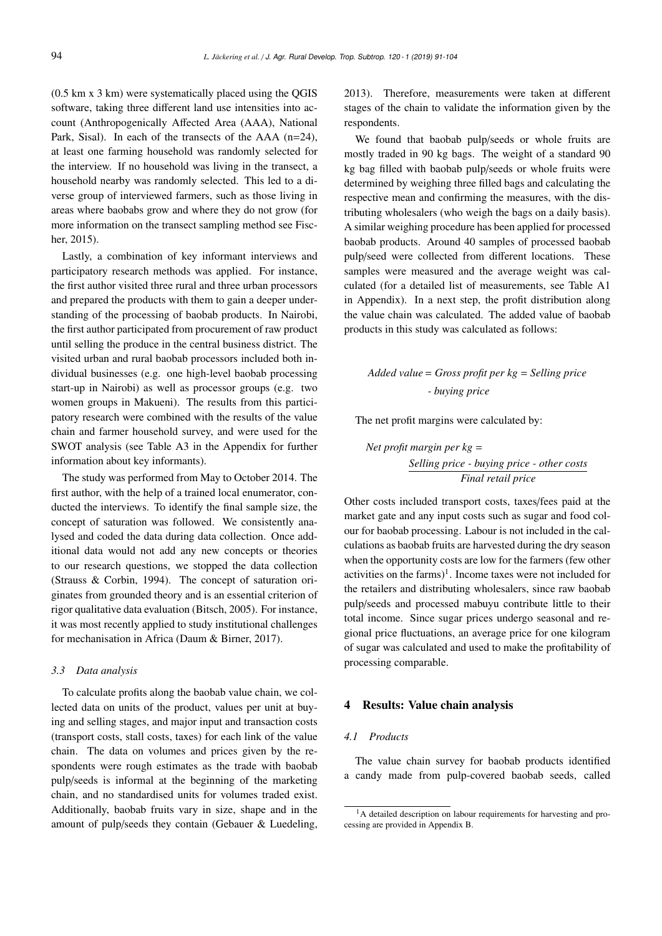(0.5 km x 3 km) were systematically placed using the QGIS software, taking three different land use intensities into account (Anthropogenically Affected Area (AAA), National Park, Sisal). In each of the transects of the AAA  $(n=24)$ , at least one farming household was randomly selected for the interview. If no household was living in the transect, a household nearby was randomly selected. This led to a diverse group of interviewed farmers, such as those living in areas where baobabs grow and where they do not grow (for more information on the transect sampling method see Fischer, 2015).

Lastly, a combination of key informant interviews and participatory research methods was applied. For instance, the first author visited three rural and three urban processors and prepared the products with them to gain a deeper understanding of the processing of baobab products. In Nairobi, the first author participated from procurement of raw product until selling the produce in the central business district. The visited urban and rural baobab processors included both individual businesses (e.g. one high-level baobab processing start-up in Nairobi) as well as processor groups (e.g. two women groups in Makueni). The results from this participatory research were combined with the results of the value chain and farmer household survey, and were used for the SWOT analysis (see Table A3 in the Appendix for further information about key informants).

The study was performed from May to October 2014. The first author, with the help of a trained local enumerator, conducted the interviews. To identify the final sample size, the concept of saturation was followed. We consistently analysed and coded the data during data collection. Once additional data would not add any new concepts or theories to our research questions, we stopped the data collection (Strauss & Corbin, 1994). The concept of saturation originates from grounded theory and is an essential criterion of rigor qualitative data evaluation (Bitsch, 2005). For instance, it was most recently applied to study institutional challenges for mechanisation in Africa (Daum & Birner, 2017).

#### *3.3 Data analysis*

To calculate profits along the baobab value chain, we collected data on units of the product, values per unit at buying and selling stages, and major input and transaction costs (transport costs, stall costs, taxes) for each link of the value chain. The data on volumes and prices given by the respondents were rough estimates as the trade with baobab pulp/seeds is informal at the beginning of the marketing chain, and no standardised units for volumes traded exist. Additionally, baobab fruits vary in size, shape and in the amount of pulp/seeds they contain (Gebauer & Luedeling,

2013). Therefore, measurements were taken at different stages of the chain to validate the information given by the respondents.

We found that baobab pulp/seeds or whole fruits are mostly traded in 90 kg bags. The weight of a standard 90 kg bag filled with baobab pulp/seeds or whole fruits were determined by weighing three filled bags and calculating the respective mean and confirming the measures, with the distributing wholesalers (who weigh the bags on a daily basis). A similar weighing procedure has been applied for processed baobab products. Around 40 samples of processed baobab pulp/seed were collected from different locations. These samples were measured and the average weight was calculated (for a detailed list of measurements, see Table A1 in Appendix). In a next step, the profit distribution along the value chain was calculated. The added value of baobab products in this study was calculated as follows:

# *Added value* = *Gross profit per kg* = *Selling price - buying price*

The net profit margins were calculated by:

*Net profit margin per kg* = *Selling price - buying price - other costs Final retail price*

Other costs included transport costs, taxes/fees paid at the market gate and any input costs such as sugar and food colour for baobab processing. Labour is not included in the calculations as baobab fruits are harvested during the dry season when the opportunity costs are low for the farmers (few other activities on the farms)<sup>1</sup>. Income taxes were not included for the retailers and distributing wholesalers, since raw baobab pulp/seeds and processed mabuyu contribute little to their total income. Since sugar prices undergo seasonal and regional price fluctuations, an average price for one kilogram of sugar was calculated and used to make the profitability of processing comparable.

# 4 Results: Value chain analysis

#### *4.1 Products*

The value chain survey for baobab products identified a candy made from pulp-covered baobab seeds, called

<sup>&</sup>lt;sup>1</sup>A detailed description on labour requirements for harvesting and processing are provided in Appendix B.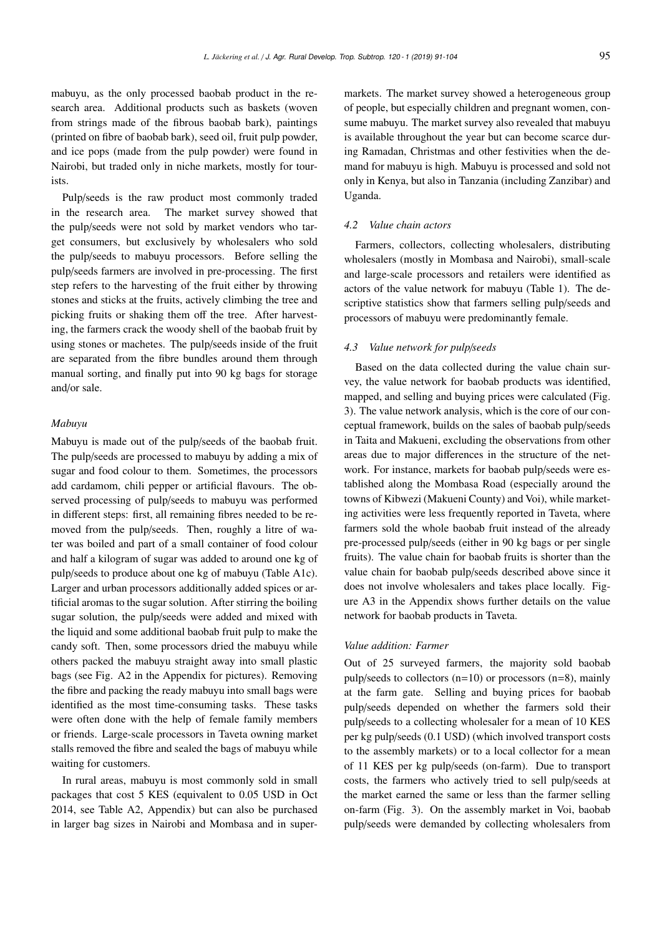mabuyu, as the only processed baobab product in the research area. Additional products such as baskets (woven from strings made of the fibrous baobab bark), paintings (printed on fibre of baobab bark), seed oil, fruit pulp powder, and ice pops (made from the pulp powder) were found in Nairobi, but traded only in niche markets, mostly for tourists.

Pulp/seeds is the raw product most commonly traded in the research area. The market survey showed that the pulp/seeds were not sold by market vendors who target consumers, but exclusively by wholesalers who sold the pulp/seeds to mabuyu processors. Before selling the pulp/seeds farmers are involved in pre-processing. The first step refers to the harvesting of the fruit either by throwing stones and sticks at the fruits, actively climbing the tree and picking fruits or shaking them off the tree. After harvesting, the farmers crack the woody shell of the baobab fruit by using stones or machetes. The pulp/seeds inside of the fruit are separated from the fibre bundles around them through manual sorting, and finally put into 90 kg bags for storage and/or sale.

# *Mabuyu*

Mabuyu is made out of the pulp/seeds of the baobab fruit. The pulp/seeds are processed to mabuyu by adding a mix of sugar and food colour to them. Sometimes, the processors add cardamom, chili pepper or artificial flavours. The observed processing of pulp/seeds to mabuyu was performed in different steps: first, all remaining fibres needed to be removed from the pulp/seeds. Then, roughly a litre of water was boiled and part of a small container of food colour and half a kilogram of sugar was added to around one kg of pulp/seeds to produce about one kg of mabuyu (Table A1c). Larger and urban processors additionally added spices or artificial aromas to the sugar solution. After stirring the boiling sugar solution, the pulp/seeds were added and mixed with the liquid and some additional baobab fruit pulp to make the candy soft. Then, some processors dried the mabuyu while others packed the mabuyu straight away into small plastic bags (see Fig. A2 in the Appendix for pictures). Removing the fibre and packing the ready mabuyu into small bags were identified as the most time-consuming tasks. These tasks were often done with the help of female family members or friends. Large-scale processors in Taveta owning market stalls removed the fibre and sealed the bags of mabuyu while waiting for customers.

In rural areas, mabuyu is most commonly sold in small packages that cost 5 KES (equivalent to 0.05 USD in Oct 2014, see Table A2, Appendix) but can also be purchased in larger bag sizes in Nairobi and Mombasa and in supermarkets. The market survey showed a heterogeneous group of people, but especially children and pregnant women, consume mabuyu. The market survey also revealed that mabuyu is available throughout the year but can become scarce during Ramadan, Christmas and other festivities when the demand for mabuyu is high. Mabuyu is processed and sold not only in Kenya, but also in Tanzania (including Zanzibar) and Uganda.

# *4.2 Value chain actors*

Farmers, collectors, collecting wholesalers, distributing wholesalers (mostly in Mombasa and Nairobi), small-scale and large-scale processors and retailers were identified as actors of the value network for mabuyu (Table 1). The descriptive statistics show that farmers selling pulp/seeds and processors of mabuyu were predominantly female.

# *4.3 Value network for pulp*/*seeds*

Based on the data collected during the value chain survey, the value network for baobab products was identified, mapped, and selling and buying prices were calculated (Fig. 3). The value network analysis, which is the core of our conceptual framework, builds on the sales of baobab pulp/seeds in Taita and Makueni, excluding the observations from other areas due to major differences in the structure of the network. For instance, markets for baobab pulp/seeds were established along the Mombasa Road (especially around the towns of Kibwezi (Makueni County) and Voi), while marketing activities were less frequently reported in Taveta, where farmers sold the whole baobab fruit instead of the already pre-processed pulp/seeds (either in 90 kg bags or per single fruits). The value chain for baobab fruits is shorter than the value chain for baobab pulp/seeds described above since it does not involve wholesalers and takes place locally. Figure A3 in the Appendix shows further details on the value network for baobab products in Taveta.

#### *Value addition: Farmer*

Out of 25 surveyed farmers, the majority sold baobab pulp/seeds to collectors  $(n=10)$  or processors  $(n=8)$ , mainly at the farm gate. Selling and buying prices for baobab pulp/seeds depended on whether the farmers sold their pulp/seeds to a collecting wholesaler for a mean of 10 KES per kg pulp/seeds (0.1 USD) (which involved transport costs to the assembly markets) or to a local collector for a mean of 11 KES per kg pulp/seeds (on-farm). Due to transport costs, the farmers who actively tried to sell pulp/seeds at the market earned the same or less than the farmer selling on-farm (Fig. 3). On the assembly market in Voi, baobab pulp/seeds were demanded by collecting wholesalers from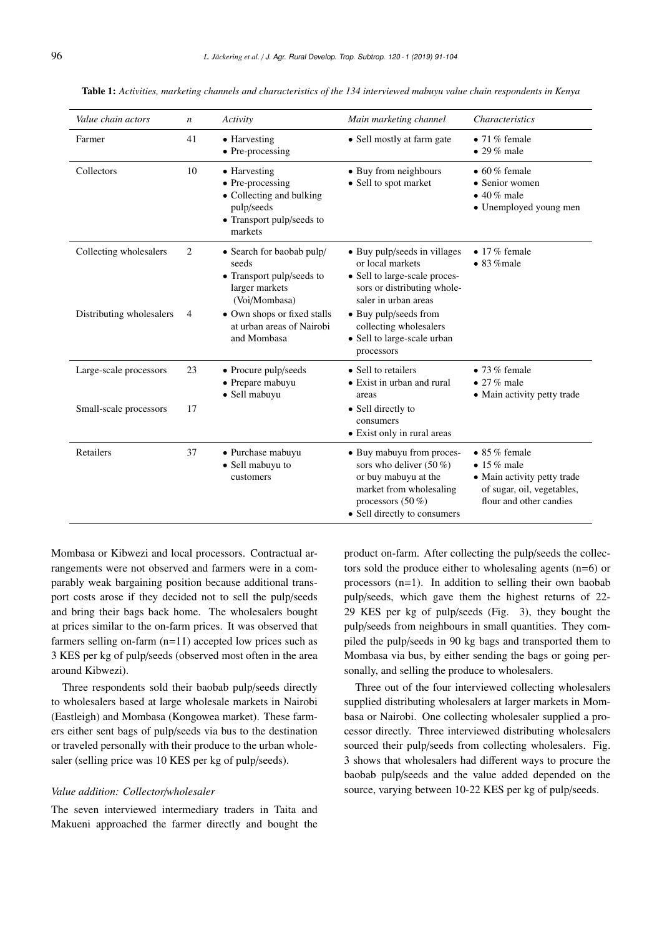| Value chain actors       | $\boldsymbol{n}$ | Activity                                                                                                           | Main marketing channel                                                                                                                                           | <b>Characteristics</b>                                                                                                             |
|--------------------------|------------------|--------------------------------------------------------------------------------------------------------------------|------------------------------------------------------------------------------------------------------------------------------------------------------------------|------------------------------------------------------------------------------------------------------------------------------------|
| Farmer                   | 41               | • Harvesting<br>$\bullet$ Pre-processing                                                                           | • Sell mostly at farm gate                                                                                                                                       | $\bullet$ 71% female<br>$\bullet$ 29% male                                                                                         |
| Collectors               | 10               | • Harvesting<br>• Pre-processing<br>• Collecting and bulking<br>pulp/seeds<br>• Transport pulp/seeds to<br>markets | • Buy from neighbours<br>• Sell to spot market                                                                                                                   | $\bullet$ 60% female<br>• Senior women<br>$\bullet$ 40% male<br>• Unemployed young men                                             |
| Collecting wholesalers   | 2                | • Search for baobab pulp/<br>seeds<br>• Transport pulp/seeds to<br>larger markets<br>(Voi/Mombasa)                 | • Buy pulp/seeds in villages<br>or local markets<br>• Sell to large-scale proces-<br>sors or distributing whole-<br>saler in urban areas                         | $\bullet$ 17% female<br>$\bullet$ 83 % male                                                                                        |
| Distributing wholesalers | 4                | • Own shops or fixed stalls<br>at urban areas of Nairobi<br>and Mombasa                                            | • Buy pulp/seeds from<br>collecting wholesalers<br>• Sell to large-scale urban<br>processors                                                                     |                                                                                                                                    |
| Large-scale processors   | 23               | • Procure pulp/seeds<br>• Prepare mabuyu<br>• Sell mabuyu                                                          | • Sell to retailers<br>• Exist in urban and rural<br>areas                                                                                                       | $\bullet$ 73% female<br>$\bullet$ 27% male<br>• Main activity petty trade                                                          |
| Small-scale processors   | 17               |                                                                                                                    | • Sell directly to<br>consumers<br>• Exist only in rural areas                                                                                                   |                                                                                                                                    |
| Retailers                | 37               | · Purchase mabuyu<br>• Sell mabuyu to<br>customers                                                                 | • Buy mabuyu from proces-<br>sors who deliver $(50\%)$<br>or buy mabuyu at the<br>market from wholesaling<br>processors $(50\%)$<br>• Sell directly to consumers | $\bullet$ 85% female<br>$\bullet$ 15% male<br>• Main activity petty trade<br>of sugar, oil, vegetables,<br>flour and other candies |

Table 1: *Activities, marketing channels and characteristics of the 134 interviewed mabuyu value chain respondents in Kenya*

Mombasa or Kibwezi and local processors. Contractual arrangements were not observed and farmers were in a comparably weak bargaining position because additional transport costs arose if they decided not to sell the pulp/seeds and bring their bags back home. The wholesalers bought at prices similar to the on-farm prices. It was observed that farmers selling on-farm (n=11) accepted low prices such as 3 KES per kg of pulp/seeds (observed most often in the area around Kibwezi).

Three respondents sold their baobab pulp/seeds directly to wholesalers based at large wholesale markets in Nairobi (Eastleigh) and Mombasa (Kongowea market). These farmers either sent bags of pulp/seeds via bus to the destination or traveled personally with their produce to the urban wholesaler (selling price was 10 KES per kg of pulp/seeds).

#### *Value addition: Collector*/*wholesaler*

The seven interviewed intermediary traders in Taita and Makueni approached the farmer directly and bought the

product on-farm. After collecting the pulp/seeds the collectors sold the produce either to wholesaling agents (n=6) or processors (n=1). In addition to selling their own baobab pulp/seeds, which gave them the highest returns of 22- 29 KES per kg of pulp/seeds (Fig. 3), they bought the pulp/seeds from neighbours in small quantities. They compiled the pulp/seeds in 90 kg bags and transported them to Mombasa via bus, by either sending the bags or going personally, and selling the produce to wholesalers.

Three out of the four interviewed collecting wholesalers supplied distributing wholesalers at larger markets in Mombasa or Nairobi. One collecting wholesaler supplied a processor directly. Three interviewed distributing wholesalers sourced their pulp/seeds from collecting wholesalers. Fig. 3 shows that wholesalers had different ways to procure the baobab pulp/seeds and the value added depended on the source, varying between 10-22 KES per kg of pulp/seeds.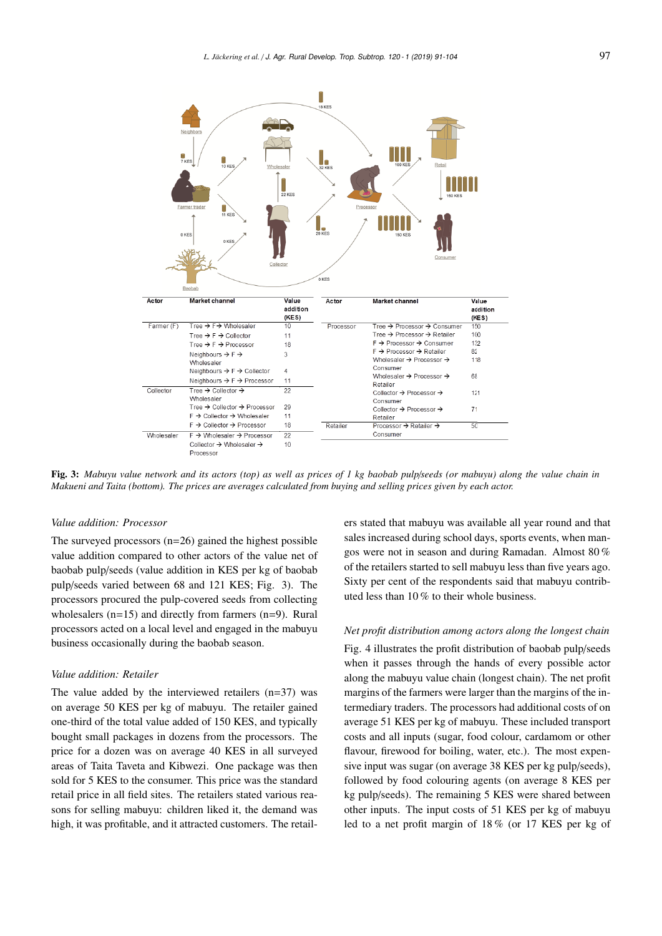

Fig. 3: *Mabuyu value network and its actors (top) as well as prices of 1 kg baobab pulp*/*seeds (or mabuyu) along the value chain in Makueni and Taita (bottom). The prices are averages calculated from buying and selling prices given by each actor.*

#### *Value addition: Processor*

The surveyed processors  $(n=26)$  gained the highest possible value addition compared to other actors of the value net of baobab pulp/seeds (value addition in KES per kg of baobab pulp/seeds varied between 68 and 121 KES; Fig. 3). The processors procured the pulp-covered seeds from collecting wholesalers (n=15) and directly from farmers (n=9). Rural processors acted on a local level and engaged in the mabuyu business occasionally during the baobab season.

# *Value addition: Retailer*

The value added by the interviewed retailers  $(n=37)$  was on average 50 KES per kg of mabuyu. The retailer gained one-third of the total value added of 150 KES, and typically bought small packages in dozens from the processors. The price for a dozen was on average 40 KES in all surveyed areas of Taita Taveta and Kibwezi. One package was then sold for 5 KES to the consumer. This price was the standard retail price in all field sites. The retailers stated various reasons for selling mabuyu: children liked it, the demand was high, it was profitable, and it attracted customers. The retailers stated that mabuyu was available all year round and that sales increased during school days, sports events, when mangos were not in season and during Ramadan. Almost 80 % of the retailers started to sell mabuyu less than five years ago. Sixty per cent of the respondents said that mabuyu contributed less than 10 % to their whole business.

#### *Net profit distribution among actors along the longest chain*

Fig. 4 illustrates the profit distribution of baobab pulp/seeds when it passes through the hands of every possible actor along the mabuyu value chain (longest chain). The net profit margins of the farmers were larger than the margins of the intermediary traders. The processors had additional costs of on average 51 KES per kg of mabuyu. These included transport costs and all inputs (sugar, food colour, cardamom or other flavour, firewood for boiling, water, etc.). The most expensive input was sugar (on average 38 KES per kg pulp/seeds), followed by food colouring agents (on average 8 KES per kg pulp/seeds). The remaining 5 KES were shared between other inputs. The input costs of 51 KES per kg of mabuyu led to a net profit margin of 18 % (or 17 KES per kg of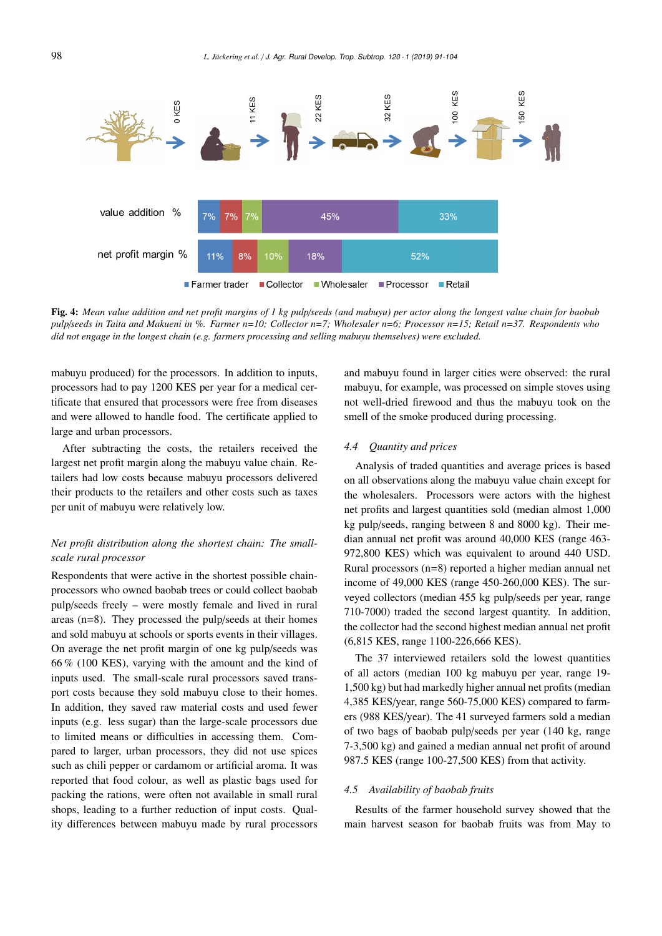

Fig. 4: *Mean value addition and net profit margins of 1 kg pulp*/*seeds (and mabuyu) per actor along the longest value chain for baobab pulp*/*seeds in Taita and Makueni in %. Farmer n*=*10; Collector n*=*7; Wholesaler n*=*6; Processor n*=*15; Retail n*=*37. Respondents who did not engage in the longest chain (e.g. farmers processing and selling mabuyu themselves) were excluded.*

mabuyu produced) for the processors. In addition to inputs, processors had to pay 1200 KES per year for a medical certificate that ensured that processors were free from diseases and were allowed to handle food. The certificate applied to large and urban processors.

After subtracting the costs, the retailers received the largest net profit margin along the mabuyu value chain. Retailers had low costs because mabuyu processors delivered their products to the retailers and other costs such as taxes per unit of mabuyu were relatively low.

# *Net profit distribution along the shortest chain: The smallscale rural processor*

Respondents that were active in the shortest possible chainprocessors who owned baobab trees or could collect baobab pulp/seeds freely – were mostly female and lived in rural areas (n=8). They processed the pulp/seeds at their homes and sold mabuyu at schools or sports events in their villages. On average the net profit margin of one kg pulp/seeds was 66 % (100 KES), varying with the amount and the kind of inputs used. The small-scale rural processors saved transport costs because they sold mabuyu close to their homes. In addition, they saved raw material costs and used fewer inputs (e.g. less sugar) than the large-scale processors due to limited means or difficulties in accessing them. Compared to larger, urban processors, they did not use spices such as chili pepper or cardamom or artificial aroma. It was reported that food colour, as well as plastic bags used for packing the rations, were often not available in small rural shops, leading to a further reduction of input costs. Quality differences between mabuyu made by rural processors

and mabuyu found in larger cities were observed: the rural mabuyu, for example, was processed on simple stoves using not well-dried firewood and thus the mabuyu took on the smell of the smoke produced during processing.

#### *4.4 Quantity and prices*

Analysis of traded quantities and average prices is based on all observations along the mabuyu value chain except for the wholesalers. Processors were actors with the highest net profits and largest quantities sold (median almost 1,000 kg pulp/seeds, ranging between 8 and 8000 kg). Their median annual net profit was around 40,000 KES (range 463- 972,800 KES) which was equivalent to around 440 USD. Rural processors (n=8) reported a higher median annual net income of 49,000 KES (range 450-260,000 KES). The surveyed collectors (median 455 kg pulp/seeds per year, range 710-7000) traded the second largest quantity. In addition, the collector had the second highest median annual net profit (6,815 KES, range 1100-226,666 KES).

The 37 interviewed retailers sold the lowest quantities of all actors (median 100 kg mabuyu per year, range 19- 1,500 kg) but had markedly higher annual net profits (median 4,385 KES/year, range 560-75,000 KES) compared to farmers (988 KES/year). The 41 surveyed farmers sold a median of two bags of baobab pulp/seeds per year (140 kg, range 7-3,500 kg) and gained a median annual net profit of around 987.5 KES (range 100-27,500 KES) from that activity.

#### *4.5 Availability of baobab fruits*

Results of the farmer household survey showed that the main harvest season for baobab fruits was from May to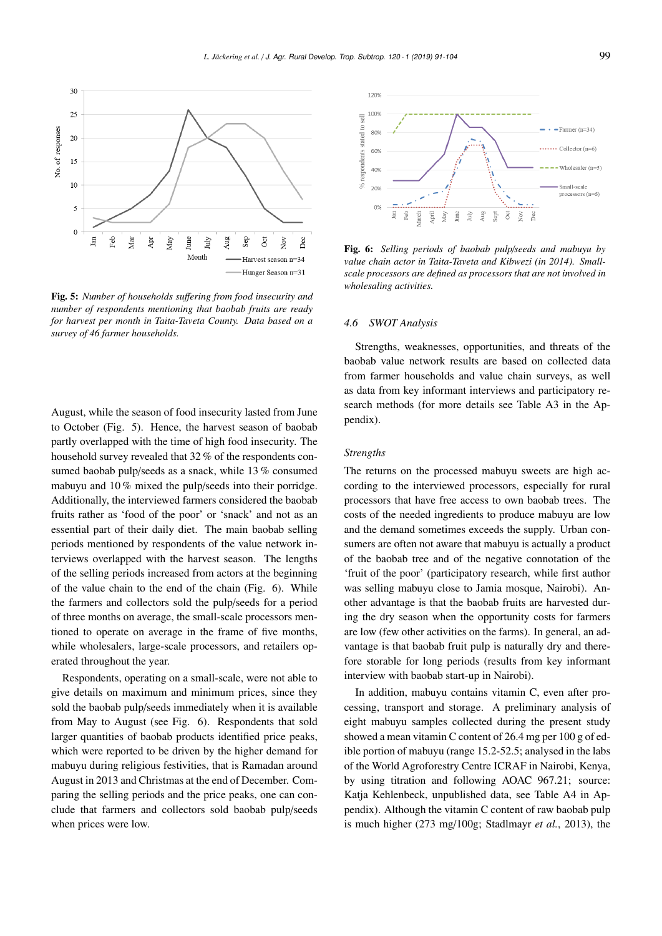

Fig. 5: *Number of households su*ff*ering from food insecurity and number of respondents mentioning that baobab fruits are ready for harvest per month in Taita-Taveta County. Data based on a survey of 46 farmer households.*

August, while the season of food insecurity lasted from June to October (Fig. 5). Hence, the harvest season of baobab partly overlapped with the time of high food insecurity. The household survey revealed that 32 % of the respondents consumed baobab pulp/seeds as a snack, while 13 % consumed mabuyu and 10 % mixed the pulp/seeds into their porridge. Additionally, the interviewed farmers considered the baobab fruits rather as 'food of the poor' or 'snack' and not as an essential part of their daily diet. The main baobab selling periods mentioned by respondents of the value network interviews overlapped with the harvest season. The lengths of the selling periods increased from actors at the beginning of the value chain to the end of the chain (Fig. 6). While the farmers and collectors sold the pulp/seeds for a period of three months on average, the small-scale processors mentioned to operate on average in the frame of five months, while wholesalers, large-scale processors, and retailers operated throughout the year.

Respondents, operating on a small-scale, were not able to give details on maximum and minimum prices, since they sold the baobab pulp/seeds immediately when it is available from May to August (see Fig. 6). Respondents that sold larger quantities of baobab products identified price peaks, which were reported to be driven by the higher demand for mabuyu during religious festivities, that is Ramadan around August in 2013 and Christmas at the end of December. Comparing the selling periods and the price peaks, one can conclude that farmers and collectors sold baobab pulp/seeds when prices were low.



Fig. 6: *Selling periods of baobab pulp*/*seeds and mabuyu by value chain actor in Taita-Taveta and Kibwezi (in 2014). Smallscale processors are defined as processors that are not involved in wholesaling activities.*

#### *4.6 SWOT Analysis*

Strengths, weaknesses, opportunities, and threats of the baobab value network results are based on collected data from farmer households and value chain surveys, as well as data from key informant interviews and participatory research methods (for more details see Table A3 in the Appendix).

#### *Strengths*

The returns on the processed mabuyu sweets are high according to the interviewed processors, especially for rural processors that have free access to own baobab trees. The costs of the needed ingredients to produce mabuyu are low and the demand sometimes exceeds the supply. Urban consumers are often not aware that mabuyu is actually a product of the baobab tree and of the negative connotation of the 'fruit of the poor' (participatory research, while first author was selling mabuyu close to Jamia mosque, Nairobi). Another advantage is that the baobab fruits are harvested during the dry season when the opportunity costs for farmers are low (few other activities on the farms). In general, an advantage is that baobab fruit pulp is naturally dry and therefore storable for long periods (results from key informant interview with baobab start-up in Nairobi).

In addition, mabuyu contains vitamin C, even after processing, transport and storage. A preliminary analysis of eight mabuyu samples collected during the present study showed a mean vitamin C content of 26.4 mg per 100 g of edible portion of mabuyu (range 15.2-52.5; analysed in the labs of the World Agroforestry Centre ICRAF in Nairobi, Kenya, by using titration and following AOAC 967.21; source: Katja Kehlenbeck, unpublished data, see Table A4 in Appendix). Although the vitamin C content of raw baobab pulp is much higher (273 mg/100g; Stadlmayr *et al.*, 2013), the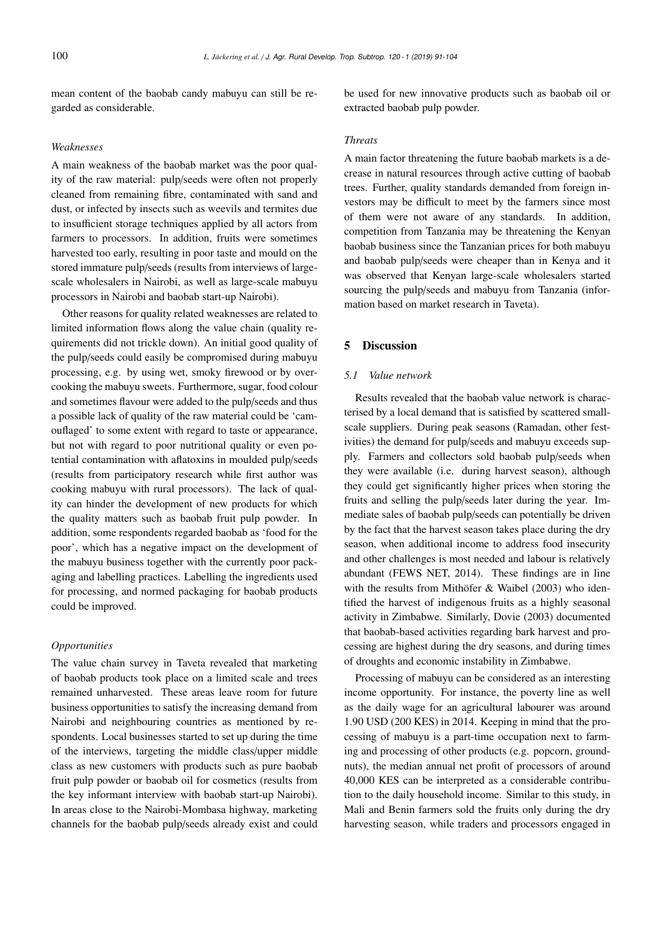mean content of the baobab candy mabuyu can still be regarded as considerable.

#### *Weaknesses*

A main weakness of the baobab market was the poor quality of the raw material: pulp/seeds were often not properly cleaned from remaining fibre, contaminated with sand and dust, or infected by insects such as weevils and termites due to insufficient storage techniques applied by all actors from farmers to processors. In addition, fruits were sometimes harvested too early, resulting in poor taste and mould on the stored immature pulp/seeds (results from interviews of largescale wholesalers in Nairobi, as well as large-scale mabuyu processors in Nairobi and baobab start-up Nairobi).

Other reasons for quality related weaknesses are related to limited information flows along the value chain (quality requirements did not trickle down). An initial good quality of the pulp/seeds could easily be compromised during mabuyu processing, e.g. by using wet, smoky firewood or by overcooking the mabuyu sweets. Furthermore, sugar, food colour and sometimes flavour were added to the pulp/seeds and thus a possible lack of quality of the raw material could be 'camouflaged' to some extent with regard to taste or appearance, but not with regard to poor nutritional quality or even potential contamination with aflatoxins in moulded pulp/seeds (results from participatory research while first author was cooking mabuyu with rural processors). The lack of quality can hinder the development of new products for which the quality matters such as baobab fruit pulp powder. In addition, some respondents regarded baobab as 'food for the poor', which has a negative impact on the development of the mabuyu business together with the currently poor packaging and labelling practices. Labelling the ingredients used for processing, and normed packaging for baobab products could be improved.

# *Opportunities*

The value chain survey in Taveta revealed that marketing of baobab products took place on a limited scale and trees remained unharvested. These areas leave room for future business opportunities to satisfy the increasing demand from Nairobi and neighbouring countries as mentioned by respondents. Local businesses started to set up during the time of the interviews, targeting the middle class/upper middle class as new customers with products such as pure baobab fruit pulp powder or baobab oil for cosmetics (results from the key informant interview with baobab start-up Nairobi). In areas close to the Nairobi-Mombasa highway, marketing channels for the baobab pulp/seeds already exist and could be used for new innovative products such as baobab oil or extracted baobab pulp powder.

#### *Threats*

A main factor threatening the future baobab markets is a decrease in natural resources through active cutting of baobab trees. Further, quality standards demanded from foreign investors may be difficult to meet by the farmers since most of them were not aware of any standards. In addition, competition from Tanzania may be threatening the Kenyan baobab business since the Tanzanian prices for both mabuyu and baobab pulp/seeds were cheaper than in Kenya and it was observed that Kenyan large-scale wholesalers started sourcing the pulp/seeds and mabuyu from Tanzania (information based on market research in Taveta).

# 5 Discussion

# *5.1 Value network*

Results revealed that the baobab value network is characterised by a local demand that is satisfied by scattered smallscale suppliers. During peak seasons (Ramadan, other festivities) the demand for pulp/seeds and mabuyu exceeds supply. Farmers and collectors sold baobab pulp/seeds when they were available (i.e. during harvest season), although they could get significantly higher prices when storing the fruits and selling the pulp/seeds later during the year. Immediate sales of baobab pulp/seeds can potentially be driven by the fact that the harvest season takes place during the dry season, when additional income to address food insecurity and other challenges is most needed and labour is relatively abundant (FEWS NET, 2014). These findings are in line with the results from Mithöfer & Waibel (2003) who identified the harvest of indigenous fruits as a highly seasonal activity in Zimbabwe. Similarly, Dovie (2003) documented that baobab-based activities regarding bark harvest and processing are highest during the dry seasons, and during times of droughts and economic instability in Zimbabwe.

Processing of mabuyu can be considered as an interesting income opportunity. For instance, the poverty line as well as the daily wage for an agricultural labourer was around 1.90 USD (200 KES) in 2014. Keeping in mind that the processing of mabuyu is a part-time occupation next to farming and processing of other products (e.g. popcorn, groundnuts), the median annual net profit of processors of around 40,000 KES can be interpreted as a considerable contribution to the daily household income. Similar to this study, in Mali and Benin farmers sold the fruits only during the dry harvesting season, while traders and processors engaged in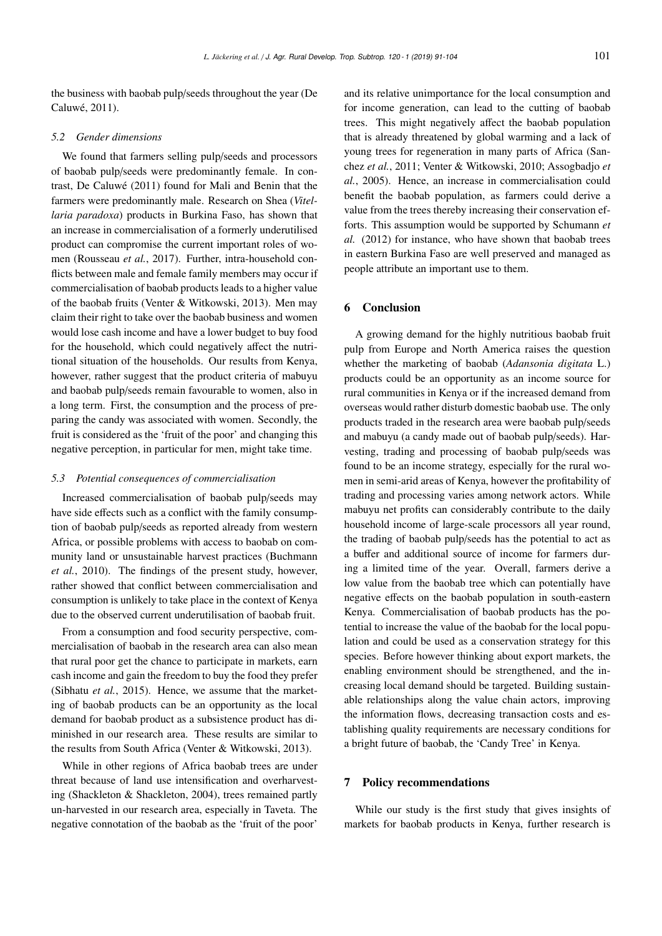the business with baobab pulp/seeds throughout the year (De Caluwé, 2011).

#### *5.2 Gender dimensions*

We found that farmers selling pulp/seeds and processors of baobab pulp/seeds were predominantly female. In contrast, De Caluwé (2011) found for Mali and Benin that the farmers were predominantly male. Research on Shea (*Vitellaria paradoxa*) products in Burkina Faso, has shown that an increase in commercialisation of a formerly underutilised product can compromise the current important roles of women (Rousseau *et al.*, 2017). Further, intra-household conflicts between male and female family members may occur if commercialisation of baobab products leads to a higher value of the baobab fruits (Venter & Witkowski, 2013). Men may claim their right to take over the baobab business and women would lose cash income and have a lower budget to buy food for the household, which could negatively affect the nutritional situation of the households. Our results from Kenya, however, rather suggest that the product criteria of mabuyu and baobab pulp/seeds remain favourable to women, also in a long term. First, the consumption and the process of preparing the candy was associated with women. Secondly, the fruit is considered as the 'fruit of the poor' and changing this negative perception, in particular for men, might take time.

#### *5.3 Potential consequences of commercialisation*

Increased commercialisation of baobab pulp/seeds may have side effects such as a conflict with the family consumption of baobab pulp/seeds as reported already from western Africa, or possible problems with access to baobab on community land or unsustainable harvest practices (Buchmann *et al.*, 2010). The findings of the present study, however, rather showed that conflict between commercialisation and consumption is unlikely to take place in the context of Kenya due to the observed current underutilisation of baobab fruit.

From a consumption and food security perspective, commercialisation of baobab in the research area can also mean that rural poor get the chance to participate in markets, earn cash income and gain the freedom to buy the food they prefer (Sibhatu *et al.*, 2015). Hence, we assume that the marketing of baobab products can be an opportunity as the local demand for baobab product as a subsistence product has diminished in our research area. These results are similar to the results from South Africa (Venter & Witkowski, 2013).

While in other regions of Africa baobab trees are under threat because of land use intensification and overharvesting (Shackleton & Shackleton, 2004), trees remained partly un-harvested in our research area, especially in Taveta. The negative connotation of the baobab as the 'fruit of the poor'

and its relative unimportance for the local consumption and for income generation, can lead to the cutting of baobab trees. This might negatively affect the baobab population that is already threatened by global warming and a lack of young trees for regeneration in many parts of Africa (Sanchez *et al.*, 2011; Venter & Witkowski, 2010; Assogbadjo *et al.*, 2005). Hence, an increase in commercialisation could benefit the baobab population, as farmers could derive a value from the trees thereby increasing their conservation efforts. This assumption would be supported by Schumann *et al.* (2012) for instance, who have shown that baobab trees in eastern Burkina Faso are well preserved and managed as people attribute an important use to them.

#### 6 Conclusion

A growing demand for the highly nutritious baobab fruit pulp from Europe and North America raises the question whether the marketing of baobab (*Adansonia digitata* L.) products could be an opportunity as an income source for rural communities in Kenya or if the increased demand from overseas would rather disturb domestic baobab use. The only products traded in the research area were baobab pulp/seeds and mabuyu (a candy made out of baobab pulp/seeds). Harvesting, trading and processing of baobab pulp/seeds was found to be an income strategy, especially for the rural women in semi-arid areas of Kenya, however the profitability of trading and processing varies among network actors. While mabuyu net profits can considerably contribute to the daily household income of large-scale processors all year round, the trading of baobab pulp/seeds has the potential to act as a buffer and additional source of income for farmers during a limited time of the year. Overall, farmers derive a low value from the baobab tree which can potentially have negative effects on the baobab population in south-eastern Kenya. Commercialisation of baobab products has the potential to increase the value of the baobab for the local population and could be used as a conservation strategy for this species. Before however thinking about export markets, the enabling environment should be strengthened, and the increasing local demand should be targeted. Building sustainable relationships along the value chain actors, improving the information flows, decreasing transaction costs and establishing quality requirements are necessary conditions for a bright future of baobab, the 'Candy Tree' in Kenya.

# 7 Policy recommendations

While our study is the first study that gives insights of markets for baobab products in Kenya, further research is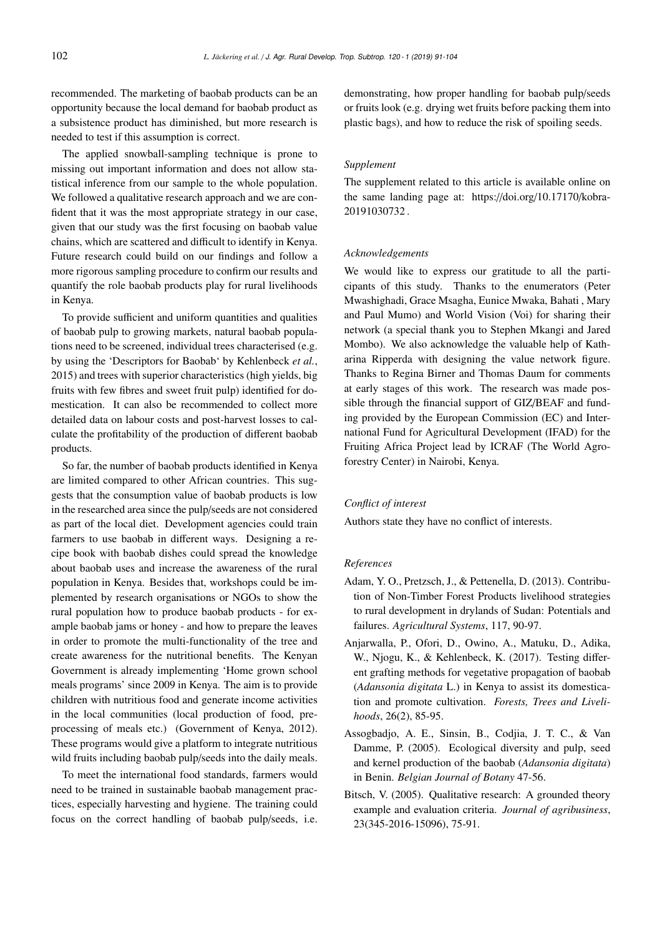recommended. The marketing of baobab products can be an opportunity because the local demand for baobab product as a subsistence product has diminished, but more research is needed to test if this assumption is correct.

The applied snowball-sampling technique is prone to missing out important information and does not allow statistical inference from our sample to the whole population. We followed a qualitative research approach and we are confident that it was the most appropriate strategy in our case, given that our study was the first focusing on baobab value chains, which are scattered and difficult to identify in Kenya. Future research could build on our findings and follow a more rigorous sampling procedure to confirm our results and quantify the role baobab products play for rural livelihoods in Kenya.

To provide sufficient and uniform quantities and qualities of baobab pulp to growing markets, natural baobab populations need to be screened, individual trees characterised (e.g. by using the 'Descriptors for Baobab' by Kehlenbeck *et al.*, 2015) and trees with superior characteristics (high yields, big fruits with few fibres and sweet fruit pulp) identified for domestication. It can also be recommended to collect more detailed data on labour costs and post-harvest losses to calculate the profitability of the production of different baobab products.

So far, the number of baobab products identified in Kenya are limited compared to other African countries. This suggests that the consumption value of baobab products is low in the researched area since the pulp/seeds are not considered as part of the local diet. Development agencies could train farmers to use baobab in different ways. Designing a recipe book with baobab dishes could spread the knowledge about baobab uses and increase the awareness of the rural population in Kenya. Besides that, workshops could be implemented by research organisations or NGOs to show the rural population how to produce baobab products - for example baobab jams or honey - and how to prepare the leaves in order to promote the multi-functionality of the tree and create awareness for the nutritional benefits. The Kenyan Government is already implementing 'Home grown school meals programs' since 2009 in Kenya. The aim is to provide children with nutritious food and generate income activities in the local communities (local production of food, preprocessing of meals etc.) (Government of Kenya, 2012). These programs would give a platform to integrate nutritious wild fruits including baobab pulp/seeds into the daily meals.

To meet the international food standards, farmers would need to be trained in sustainable baobab management practices, especially harvesting and hygiene. The training could focus on the correct handling of baobab pulp/seeds, i.e.

demonstrating, how proper handling for baobab pulp/seeds or fruits look (e.g. drying wet fruits before packing them into plastic bags), and how to reduce the risk of spoiling seeds.

#### *Supplement*

The supplement related to this article is available online on the same landing page at: https://doi.org/10.17170/kobra-20191030732 .

### *Acknowledgements*

We would like to express our gratitude to all the participants of this study. Thanks to the enumerators (Peter Mwashighadi, Grace Msagha, Eunice Mwaka, Bahati , Mary and Paul Mumo) and World Vision (Voi) for sharing their network (a special thank you to Stephen Mkangi and Jared Mombo). We also acknowledge the valuable help of Katharina Ripperda with designing the value network figure. Thanks to Regina Birner and Thomas Daum for comments at early stages of this work. The research was made possible through the financial support of GIZ/BEAF and funding provided by the European Commission (EC) and International Fund for Agricultural Development (IFAD) for the Fruiting Africa Project lead by ICRAF (The World Agroforestry Center) in Nairobi, Kenya.

## *Conflict of interest*

Authors state they have no conflict of interests.

#### *References*

- Adam, Y. O., Pretzsch, J., & Pettenella, D. (2013). Contribution of Non-Timber Forest Products livelihood strategies to rural development in drylands of Sudan: Potentials and failures. *Agricultural Systems*, 117, 90-97.
- Anjarwalla, P., Ofori, D., Owino, A., Matuku, D., Adika, W., Njogu, K., & Kehlenbeck, K. (2017). Testing different grafting methods for vegetative propagation of baobab (*Adansonia digitata* L.) in Kenya to assist its domestication and promote cultivation. *Forests, Trees and Livelihoods*, 26(2), 85-95.
- Assogbadjo, A. E., Sinsin, B., Codjia, J. T. C., & Van Damme, P. (2005). Ecological diversity and pulp, seed and kernel production of the baobab (*Adansonia digitata*) in Benin. *Belgian Journal of Botany* 47-56.
- Bitsch, V. (2005). Qualitative research: A grounded theory example and evaluation criteria. *Journal of agribusiness*, 23(345-2016-15096), 75-91.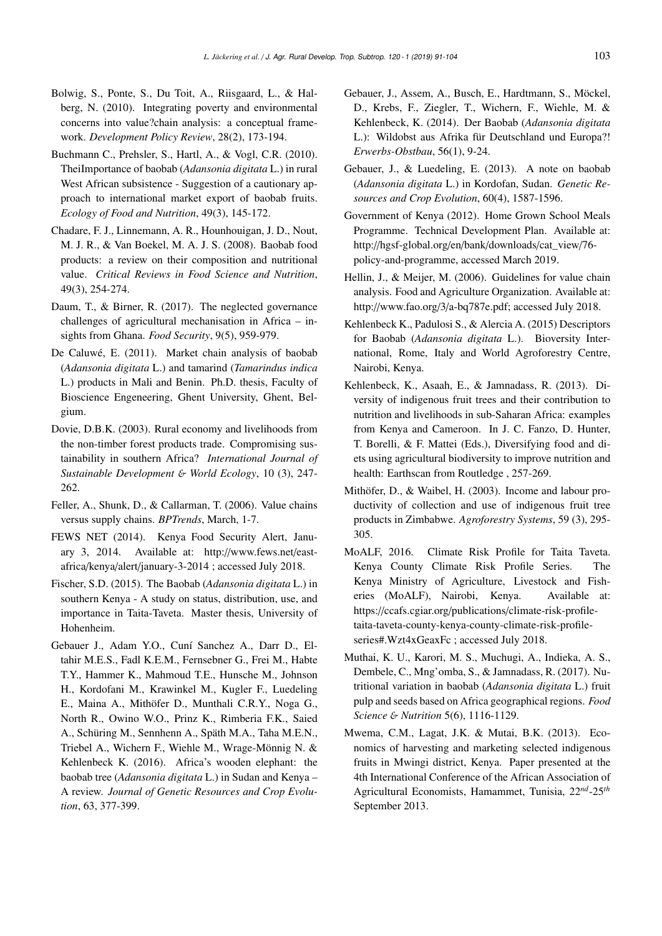- Bolwig, S., Ponte, S., Du Toit, A., Riisgaard, L., & Halberg, N. (2010). Integrating poverty and environmental concerns into value?chain analysis: a conceptual framework. *Development Policy Review*, 28(2), 173-194.
- Buchmann C., Prehsler, S., Hartl, A., & Vogl, C.R. (2010). TheiImportance of baobab (*Adansonia digitata* L.) in rural West African subsistence - Suggestion of a cautionary approach to international market export of baobab fruits. *Ecology of Food and Nutrition*, 49(3), 145-172.
- Chadare, F. J., Linnemann, A. R., Hounhouigan, J. D., Nout, M. J. R., & Van Boekel, M. A. J. S. (2008). Baobab food products: a review on their composition and nutritional value. *Critical Reviews in Food Science and Nutrition*, 49(3), 254-274.
- Daum, T., & Birner, R. (2017). The neglected governance challenges of agricultural mechanisation in Africa – insights from Ghana. *Food Security*, 9(5), 959-979.
- De Caluwé, E. (2011). Market chain analysis of baobab (*Adansonia digitata* L.) and tamarind (*Tamarindus indica* L.) products in Mali and Benin. Ph.D. thesis, Faculty of Bioscience Engeneering, Ghent University, Ghent, Belgium.
- Dovie, D.B.K. (2003). Rural economy and livelihoods from the non-timber forest products trade. Compromising sustainability in southern Africa? *International Journal of Sustainable Development* & *World Ecology*, 10 (3), 247- 262.
- Feller, A., Shunk, D., & Callarman, T. (2006). Value chains versus supply chains. *BPTrends*, March, 1-7.
- FEWS NET (2014). Kenya Food Security Alert, January 3, 2014. Available at: http://www.fews.net/eastafrica/kenya/alert/january-3-2014 ; accessed July 2018.
- Fischer, S.D. (2015). The Baobab (*Adansonia digitata* L.) in southern Kenya - A study on status, distribution, use, and importance in Taita-Taveta. Master thesis, University of Hohenheim.
- Gebauer J., Adam Y.O., Cuní Sanchez A., Darr D., Eltahir M.E.S., Fadl K.E.M., Fernsebner G., Frei M., Habte T.Y., Hammer K., Mahmoud T.E., Hunsche M., Johnson H., Kordofani M., Krawinkel M., Kugler F., Luedeling E., Maina A., Mithöfer D., Munthali C.R.Y., Noga G., North R., Owino W.O., Prinz K., Rimberia F.K., Saied A., Schüring M., Sennhenn A., Späth M.A., Taha M.E.N., Triebel A., Wichern F., Wiehle M., Wrage-Mönnig N. & Kehlenbeck K. (2016). Africa's wooden elephant: the baobab tree (*Adansonia digitata* L.) in Sudan and Kenya – A review. *Journal of Genetic Resources and Crop Evolution*, 63, 377-399.
- Gebauer, J., Assem, A., Busch, E., Hardtmann, S., Möckel, D., Krebs, F., Ziegler, T., Wichern, F., Wiehle, M. & Kehlenbeck, K. (2014). Der Baobab (*Adansonia digitata* L.): Wildobst aus Afrika für Deutschland und Europa?! *Erwerbs-Obstbau*, 56(1), 9-24.
- Gebauer, J., & Luedeling, E. (2013). A note on baobab (*Adansonia digitata* L.) in Kordofan, Sudan. *Genetic Resources and Crop Evolution*, 60(4), 1587-1596.
- Government of Kenya (2012). Home Grown School Meals Programme. Technical Development Plan. Available at: http://hgsf-global.org/en/bank/downloads/cat\_view/76 policy-and-programme, accessed March 2019.
- Hellin, J., & Meijer, M. (2006). Guidelines for value chain analysis. Food and Agriculture Organization. Available at: http://www.fao.org/3/a-bq787e.pdf; accessed July 2018.
- Kehlenbeck K., Padulosi S., & Alercia A. (2015) Descriptors for Baobab (*Adansonia digitata* L.). Bioversity International, Rome, Italy and World Agroforestry Centre, Nairobi, Kenya.
- Kehlenbeck, K., Asaah, E., & Jamnadass, R. (2013). Diversity of indigenous fruit trees and their contribution to nutrition and livelihoods in sub-Saharan Africa: examples from Kenya and Cameroon. In J. C. Fanzo, D. Hunter, T. Borelli, & F. Mattei (Eds.), Diversifying food and diets using agricultural biodiversity to improve nutrition and health: Earthscan from Routledge , 257-269.
- Mithöfer, D., & Waibel, H. (2003). Income and labour productivity of collection and use of indigenous fruit tree products in Zimbabwe. *Agroforestry Systems*, 59 (3), 295- 305.
- MoALF, 2016. Climate Risk Profile for Taita Taveta. Kenya County Climate Risk Profile Series. The Kenya Ministry of Agriculture, Livestock and Fisheries (MoALF), Nairobi, Kenya. Available at: https://ccafs.cgiar.org/publications/climate-risk-profiletaita-taveta-county-kenya-county-climate-risk-profileseries#.Wzt4xGeaxFc ; accessed July 2018.
- Muthai, K. U., Karori, M. S., Muchugi, A., Indieka, A. S., Dembele, C., Mng'omba, S., & Jamnadass, R. (2017). Nutritional variation in baobab (*Adansonia digitata* L.) fruit pulp and seeds based on Africa geographical regions. *Food Science* & *Nutrition* 5(6), 1116-1129.
- Mwema, C.M., Lagat, J.K. & Mutai, B.K. (2013). Economics of harvesting and marketing selected indigenous fruits in Mwingi district, Kenya. Paper presented at the 4th International Conference of the African Association of Agricultural Economists, Hamammet, Tunisia, 22*nd*-25*th* September 2013.